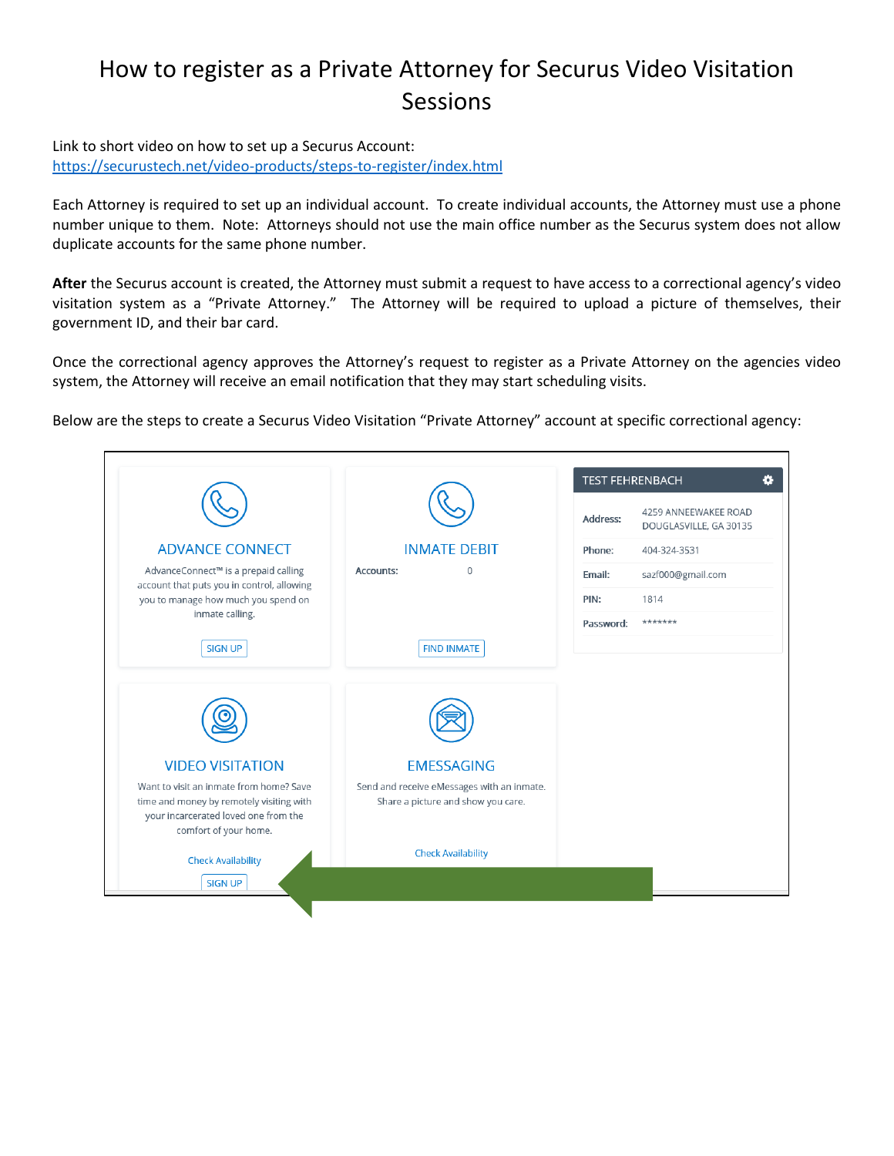## How to register as a Private Attorney for Securus Video Visitation Sessions

Link to short video on how to set up a Securus Account: <https://securustech.net/video-products/steps-to-register/index.html>

Each Attorney is required to set up an individual account. To create individual accounts, the Attorney must use a phone number unique to them. Note: Attorneys should not use the main office number as the Securus system does not allow duplicate accounts for the same phone number.

**After** the Securus account is created, the Attorney must submit a request to have access to a correctional agency's video visitation system as a "Private Attorney." The Attorney will be required to upload a picture of themselves, their government ID, and their bar card.

Once the correctional agency approves the Attorney's request to register as a Private Attorney on the agencies video system, the Attorney will receive an email notification that they may start scheduling visits.

Below are the steps to create a Securus Video Visitation "Private Attorney" account at specific correctional agency:

|                                                                                     |                                                                                  | Address:  | 4259 ANNEEWAKEE ROAD<br>DOUGLASVILLE, GA 30135 |
|-------------------------------------------------------------------------------------|----------------------------------------------------------------------------------|-----------|------------------------------------------------|
| <b>ADVANCE CONNECT</b>                                                              | <b>INMATE DEBIT</b>                                                              | Phone:    | 404-324-3531                                   |
| AdvanceConnect™ is a prepaid calling<br>account that puts you in control, allowing  | Accounts:<br>$\Omega$                                                            | Email:    | sazf000@gmail.com                              |
| you to manage how much you spend on                                                 |                                                                                  | PIN:      | 1814                                           |
| inmate calling.                                                                     |                                                                                  | Password: | *******                                        |
| <b>SIGN UP</b>                                                                      | <b>FIND INMATE</b>                                                               |           |                                                |
|                                                                                     |                                                                                  |           |                                                |
| <b>VIDEO VISITATION</b>                                                             | <b>EMESSAGING</b>                                                                |           |                                                |
| Want to visit an inmate from home? Save<br>time and money by remotely visiting with | Send and receive eMessages with an inmate.<br>Share a picture and show you care. |           |                                                |
| your incarcerated loved one from the<br>comfort of your home.                       |                                                                                  |           |                                                |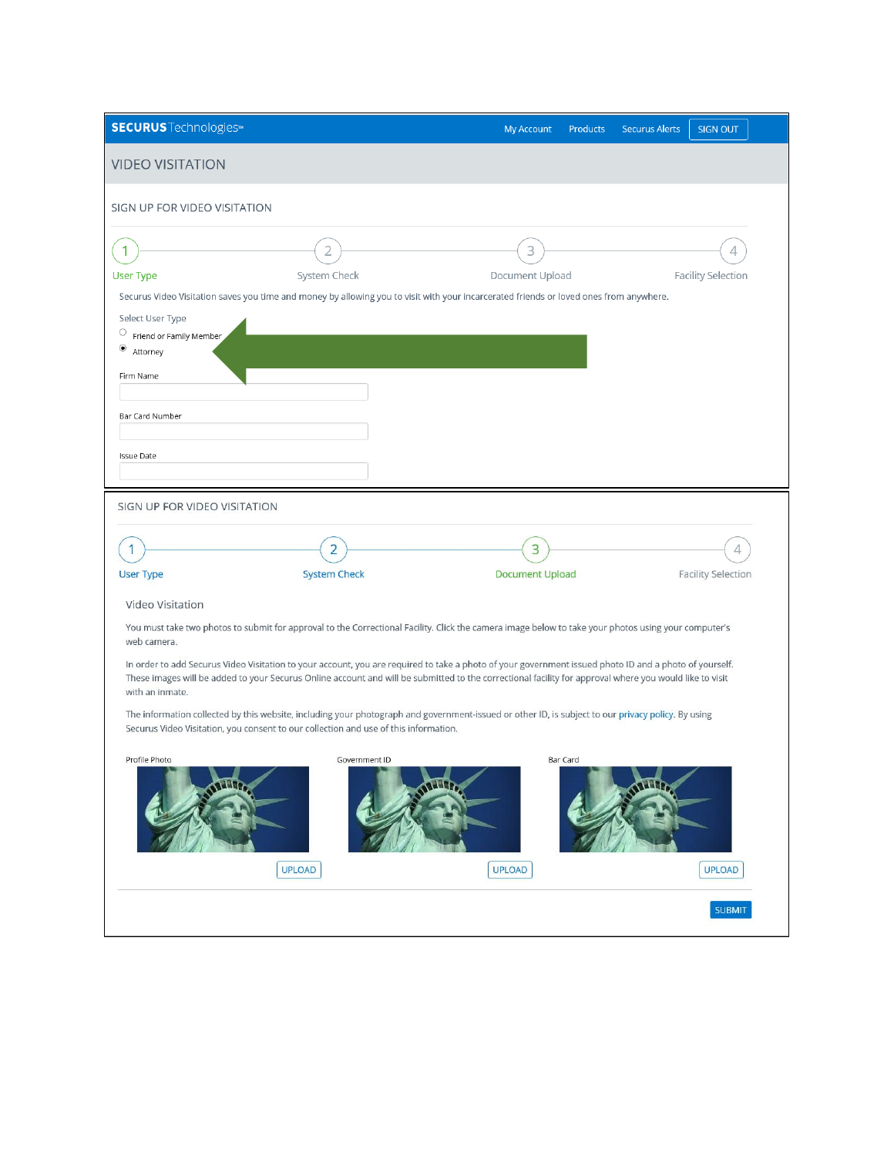| <b>SECURUS</b> Technologies <sup>™</sup>               |                                                                                                                                                         | <b>My Account</b><br><b>Products</b> | <b>Securus Alerts</b><br><b>SIGN OUT</b> |
|--------------------------------------------------------|---------------------------------------------------------------------------------------------------------------------------------------------------------|--------------------------------------|------------------------------------------|
| <b>VIDEO VISITATION</b>                                |                                                                                                                                                         |                                      |                                          |
| SIGN UP FOR VIDEO VISITATION                           |                                                                                                                                                         |                                      |                                          |
|                                                        |                                                                                                                                                         |                                      |                                          |
| 1                                                      | 2                                                                                                                                                       | 3                                    | 4                                        |
| <b>User Type</b>                                       | System Check<br>Securus Video Visitation saves you time and money by allowing you to visit with your incarcerated friends or loved ones from anywhere.  | Document Upload                      | <b>Facility Selection</b>                |
| Select User Type                                       |                                                                                                                                                         |                                      |                                          |
| O<br>Friend or Family Member<br>$_{\circ}$<br>Attorney |                                                                                                                                                         |                                      |                                          |
| Firm Name                                              |                                                                                                                                                         |                                      |                                          |
|                                                        |                                                                                                                                                         |                                      |                                          |
| Bar Card Number                                        |                                                                                                                                                         |                                      |                                          |
| <b>Issue Date</b>                                      |                                                                                                                                                         |                                      |                                          |
|                                                        |                                                                                                                                                         |                                      |                                          |
| SIGN UP FOR VIDEO VISITATION                           |                                                                                                                                                         |                                      |                                          |
|                                                        |                                                                                                                                                         |                                      |                                          |
|                                                        | 2                                                                                                                                                       | 3                                    | 4                                        |
| <b>User Type</b>                                       | <b>System Check</b>                                                                                                                                     | <b>Document Upload</b>               | <b>Facility Selection</b>                |
| Video Visitation                                       |                                                                                                                                                         |                                      |                                          |
| web camera.                                            | You must take two photos to submit for approval to the Correctional Facility. Click the camera image below to take your photos using your computer's    |                                      |                                          |
|                                                        | In order to add Securus Video Visitation to your account, you are required to take a photo of your government issued photo ID and a photo of yourself.  |                                      |                                          |
| with an inmate.                                        | These images will be added to your Securus Online account and will be submitted to the correctional facility for approval where you would like to visit |                                      |                                          |
|                                                        | The information collected by this website, including your photograph and government-issued or other ID, is subject to our privacy policy. By using      |                                      |                                          |
|                                                        | Securus Video Visitation, you consent to our collection and use of this information.                                                                    |                                      |                                          |
| Profile Photo                                          | Government ID                                                                                                                                           | Bar Card                             |                                          |
|                                                        |                                                                                                                                                         |                                      |                                          |
|                                                        |                                                                                                                                                         |                                      |                                          |
|                                                        |                                                                                                                                                         |                                      |                                          |
|                                                        | <b>UPLOAD</b>                                                                                                                                           | <b>UPLOAD</b>                        | <b>UPLOAD</b>                            |
|                                                        |                                                                                                                                                         |                                      | <b>SUBMIT</b>                            |
|                                                        |                                                                                                                                                         |                                      |                                          |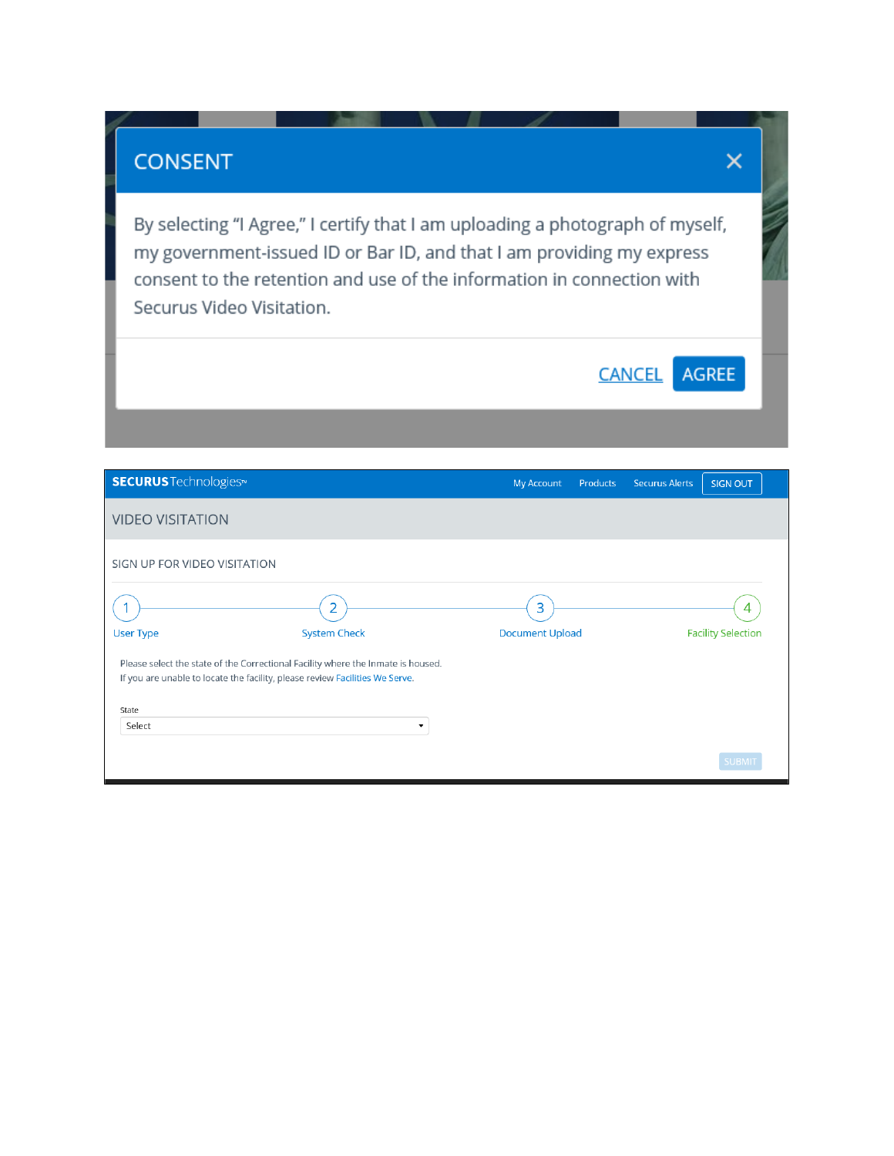## **CONSENT**

By selecting "I Agree," I certify that I am uploading a photograph of myself, my government-issued ID or Bar ID, and that I am providing my express consent to the retention and use of the information in connection with Securus Video Visitation.

 $\times$ 

| <b>SECURUS</b> Technologies <sup>®</sup>                                                                                                                                  |                          | <b>My Account</b>      | <b>Products</b> | <b>Securus Alerts</b> | <b>SIGN OUT</b>           |
|---------------------------------------------------------------------------------------------------------------------------------------------------------------------------|--------------------------|------------------------|-----------------|-----------------------|---------------------------|
| <b>VIDEO VISITATION</b>                                                                                                                                                   |                          |                        |                 |                       |                           |
| SIGN UP FOR VIDEO VISITATION                                                                                                                                              |                          |                        |                 |                       |                           |
|                                                                                                                                                                           | 2                        | 3                      |                 |                       | 4                         |
| <b>User Type</b>                                                                                                                                                          | <b>System Check</b>      | <b>Document Upload</b> |                 |                       | <b>Facility Selection</b> |
| Please select the state of the Correctional Facility where the Inmate is housed.<br>If you are unable to locate the facility, please review Facilities We Serve.<br>State |                          |                        |                 |                       |                           |
| Select                                                                                                                                                                    | $\overline{\phantom{a}}$ |                        |                 |                       |                           |
|                                                                                                                                                                           |                          |                        |                 |                       | <b>SUBMIT</b>             |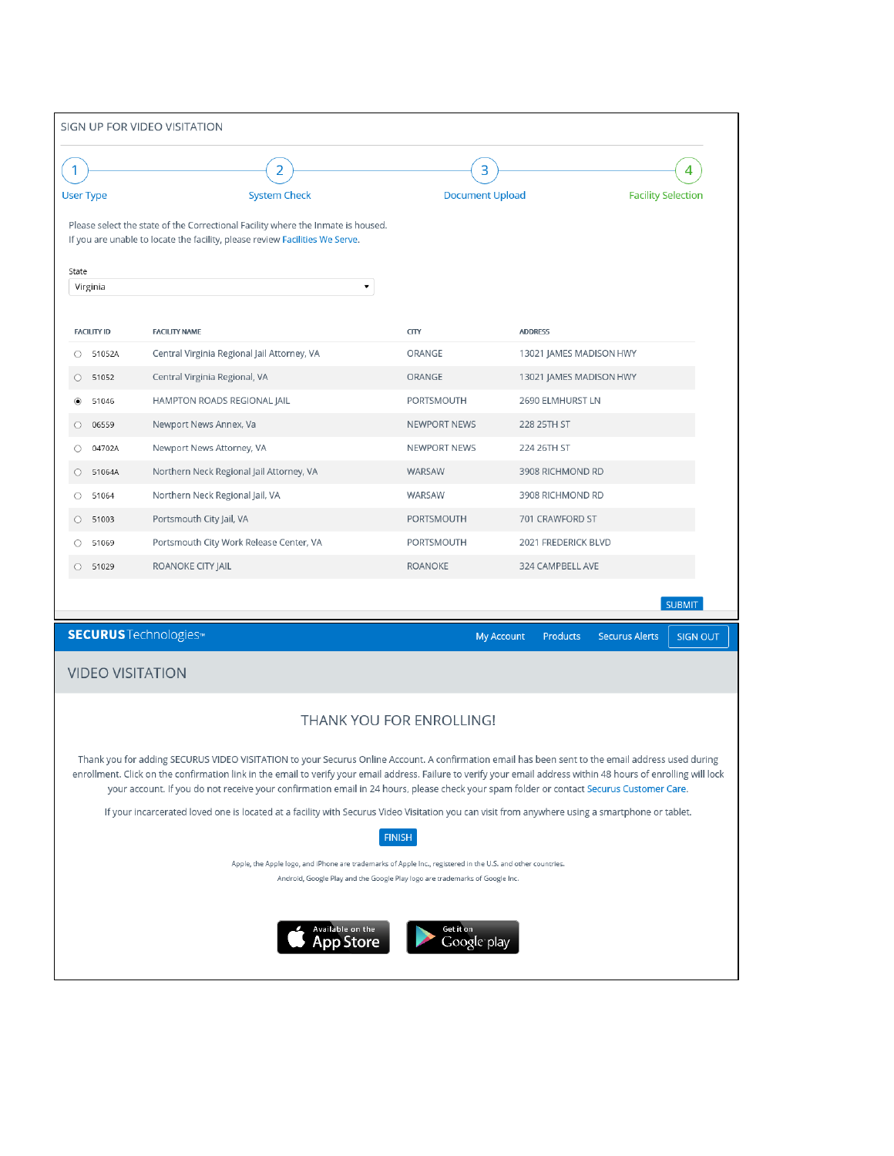|                         | SIGN UP FOR VIDEO VISITATION                                                                                                                                                                                                                                                                                                                                                                                                                                       |                          |                                      |                                          |
|-------------------------|--------------------------------------------------------------------------------------------------------------------------------------------------------------------------------------------------------------------------------------------------------------------------------------------------------------------------------------------------------------------------------------------------------------------------------------------------------------------|--------------------------|--------------------------------------|------------------------------------------|
|                         | $\overline{2}$                                                                                                                                                                                                                                                                                                                                                                                                                                                     | 3                        |                                      | 4                                        |
| <b>User Type</b>        | <b>System Check</b>                                                                                                                                                                                                                                                                                                                                                                                                                                                | <b>Document Upload</b>   |                                      | <b>Facility Selection</b>                |
|                         | Please select the state of the Correctional Facility where the Inmate is housed.<br>If you are unable to locate the facility, please review Facilities We Serve.                                                                                                                                                                                                                                                                                                   |                          |                                      |                                          |
| State                   |                                                                                                                                                                                                                                                                                                                                                                                                                                                                    |                          |                                      |                                          |
| Virginia                | $\blacktriangledown$                                                                                                                                                                                                                                                                                                                                                                                                                                               |                          |                                      |                                          |
| <b>FACILITY ID</b>      | <b>FACILITY NAME</b>                                                                                                                                                                                                                                                                                                                                                                                                                                               | <b>CITY</b>              | <b>ADDRESS</b>                       |                                          |
| 51052A<br>O             | Central Virginia Regional Jail Attorney, VA                                                                                                                                                                                                                                                                                                                                                                                                                        | ORANGE                   | 13021 JAMES MADISON HWY              |                                          |
| 51052<br>$\bigcirc$     | Central Virginia Regional, VA                                                                                                                                                                                                                                                                                                                                                                                                                                      | <b>ORANGE</b>            | 13021 JAMES MADISON HWY              |                                          |
| 51046<br>◉              | HAMPTON ROADS REGIONAL JAIL                                                                                                                                                                                                                                                                                                                                                                                                                                        | PORTSMOUTH               | 2690 ELMHURST LN                     |                                          |
| O<br>06559              | Newport News Annex, Va                                                                                                                                                                                                                                                                                                                                                                                                                                             | <b>NEWPORT NEWS</b>      | 228 25TH ST                          |                                          |
| 04702A                  | Newport News Attorney, VA                                                                                                                                                                                                                                                                                                                                                                                                                                          | <b>NEWPORT NEWS</b>      | 224 26TH ST                          |                                          |
| 51064A<br>O             | Northern Neck Regional Jail Attorney, VA                                                                                                                                                                                                                                                                                                                                                                                                                           | WARSAW                   | 3908 RICHMOND RD                     |                                          |
| O<br>51064              | Northern Neck Regional Jail, VA                                                                                                                                                                                                                                                                                                                                                                                                                                    | <b>WARSAW</b>            | 3908 RICHMOND RD                     |                                          |
| 51003<br>$\circ$        | Portsmouth City Jail, VA                                                                                                                                                                                                                                                                                                                                                                                                                                           | PORTSMOUTH               | 701 CRAWFORD ST                      |                                          |
| 51069                   | Portsmouth City Work Release Center, VA                                                                                                                                                                                                                                                                                                                                                                                                                            | PORTSMOUTH               | 2021 FREDERICK BLVD                  |                                          |
| 51029<br>O              | ROANOKE CITY JAIL                                                                                                                                                                                                                                                                                                                                                                                                                                                  | <b>ROANOKE</b>           | 324 CAMPBELL AVE                     |                                          |
|                         |                                                                                                                                                                                                                                                                                                                                                                                                                                                                    |                          |                                      | <b>SUBMIT</b>                            |
|                         | <b>SECURUS</b> Technologies <sup>™</sup>                                                                                                                                                                                                                                                                                                                                                                                                                           |                          | <b>My Account</b><br><b>Products</b> | <b>Securus Alerts</b><br><b>SIGN OUT</b> |
| <b>VIDEO VISITATION</b> |                                                                                                                                                                                                                                                                                                                                                                                                                                                                    |                          |                                      |                                          |
|                         |                                                                                                                                                                                                                                                                                                                                                                                                                                                                    | THANK YOU FOR ENROLLING! |                                      |                                          |
|                         | Thank you for adding SECURUS VIDEO VISITATION to your Securus Online Account. A confirmation email has been sent to the email address used during<br>enrollment. Click on the confirmation link in the email to verify your email address. Failure to verify your email address within 48 hours of enrolling will lock<br>your account. If you do not receive your confirmation email in 24 hours, please check your spam folder or contact Securus Customer Care. |                          |                                      |                                          |
|                         | If your incarcerated loved one is located at a facility with Securus Video Visitation you can visit from anywhere using a smartphone or tablet.                                                                                                                                                                                                                                                                                                                    | <b>FINISH</b>            |                                      |                                          |
|                         | Apple, the Apple logo, and iPhone are trademarks of Apple Inc., registered in the U.S. and other countries.<br>Android, Google Play and the Google Play logo are trademarks of Google Inc.                                                                                                                                                                                                                                                                         |                          |                                      |                                          |
|                         | Available on the<br><b>App Store</b>                                                                                                                                                                                                                                                                                                                                                                                                                               | Get it on<br>Google play |                                      |                                          |